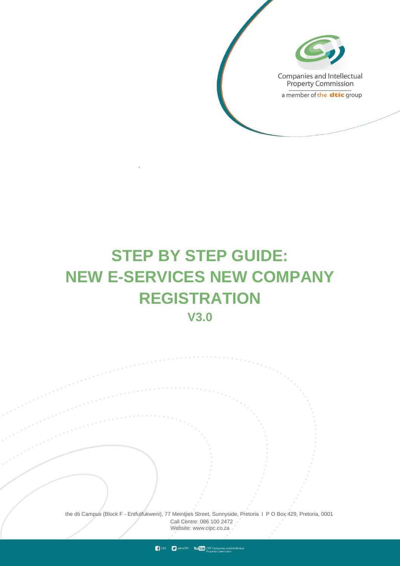

# **STEP BY STEP GUIDE: NEW E-SERVICES NEW COMPANY REGISTRATION V3.0**

the dti Campus (Block F - Entfutfukweni), 77 Meintjies Street, Sunnyside, Pretoria l P O Box 429, Pretoria, 0001 Call Centre: 086 100 2472 Websi[te: www.cipc.co.za](http://www.cipc.co.za/)

**CPC** CIPC Vou Tube CIPC Companies and intellected property Commission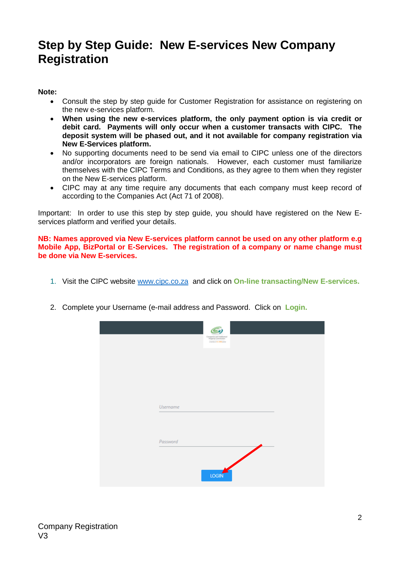# **Step by Step Guide: New E-services New Company Registration**

## **Note:**

- Consult the step by step guide for Customer Registration for assistance on registering on the new e-services platform.
- **When using the new e-services platform, the only payment option is via credit or debit card. Payments will only occur when a customer transacts with CIPC. The deposit system will be phased out, and it not available for company registration via New E-Services platform.**
- No supporting documents need to be send via email to CIPC unless one of the directors and/or incorporators are foreign nationals. However, each customer must familiarize themselves with the CIPC Terms and Conditions, as they agree to them when they register on the New E-services platform.
- CIPC may at any time require any documents that each company must keep record of according to the Companies Act (Act 71 of 2008).

Important: In order to use this step by step guide, you should have registered on the New Eservices platform and verified your details.

**NB: Names approved via New E-services platform cannot be used on any other platform e.g Mobile App, BizPortal or E-Services. The registration of a company or name change must be done via New E-services.**

- 1. Visit the CIPC website [www.cipc.co.za](http://www.cipc.co.za/) and click on **On-line transacting/New E-services.**
- 2. Complete your Username (e-mail address and Password. Click on **Login.**

|                 | ς,<br>Companies and Intellectual<br>Property Commission<br>counter of the didit price |  |  |
|-----------------|---------------------------------------------------------------------------------------|--|--|
| <b>Username</b> |                                                                                       |  |  |
| Password        |                                                                                       |  |  |
|                 | <b>LOGIN</b>                                                                          |  |  |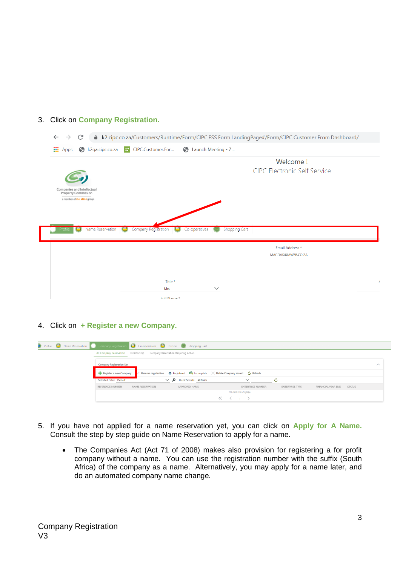### 3. Click on **Company Registration.**

|                                                                               | ▲ k2.cipc.co.za/Customers/Runtime/Form/CIPC.ESS.Form.LandingPage#/Form/CIPC.Customer.From.Dashboard/ |
|-------------------------------------------------------------------------------|------------------------------------------------------------------------------------------------------|
| <b>III</b> Apps<br>$\odot$ k2qa.cipc.co.za<br><b>H</b> CIPC.Customer.For      | C Launch Meeting - Z                                                                                 |
|                                                                               | Welcome!                                                                                             |
|                                                                               | <b>CIPC Electronic Self Service</b>                                                                  |
|                                                                               |                                                                                                      |
| Companies and Intellectual<br><b>Property Commission</b>                      |                                                                                                      |
| a member of the dtic group                                                    |                                                                                                      |
|                                                                               |                                                                                                      |
|                                                                               |                                                                                                      |
|                                                                               |                                                                                                      |
| Name Reservation<br>Company Registration<br>$\bigodot$<br>Co-operatives<br>رڪ | Shopping Cart                                                                                        |
|                                                                               |                                                                                                      |
|                                                                               | Email Address *                                                                                      |
|                                                                               | MAGDAS@MWEB.CO.ZA                                                                                    |
|                                                                               |                                                                                                      |
|                                                                               |                                                                                                      |
| Title *<br>Mrs                                                                | $\checkmark$                                                                                         |

4. Click on **+ Register a new Company.**

| <b>D</b> Profile <b>O</b> Name Reservation |                                      |                                                                                                              | Company Registration $\bigcirc$ Co-operatives $\bigcirc$ Invoice $\bigcirc$ Shopping Cart |                          |                        |                           |               |                    |
|--------------------------------------------|--------------------------------------|--------------------------------------------------------------------------------------------------------------|-------------------------------------------------------------------------------------------|--------------------------|------------------------|---------------------------|---------------|--------------------|
|                                            | All Company Reservation Directorship |                                                                                                              | Company Reservation Requiring Action                                                      |                          |                        |                           |               |                    |
|                                            | <b>Company Registration List</b>     |                                                                                                              |                                                                                           |                          |                        |                           |               | $\curvearrowright$ |
|                                            | Register a new Company               | Resume registration $\triangleq$ Registered $\Box$ Incomplete $\angle$ Delete Company record $\circ$ Refresh |                                                                                           |                          |                        |                           |               |                    |
|                                            | Selected Filter: Default             |                                                                                                              | Quick Search: All fields                                                                  | $\checkmark$             | Ċ.                     |                           |               |                    |
|                                            | REFERENCE NUMBER                     | <b>NAME RESERVATION</b>                                                                                      | APPROVED NAME                                                                             | <b>ENTERPRISE NUMBER</b> | <b>ENTERPRISE TYPE</b> | <b>FINANCIAL YEAR END</b> | <b>STATUS</b> |                    |
|                                            |                                      |                                                                                                              |                                                                                           | No items to display.     |                        |                           |               |                    |
|                                            |                                      |                                                                                                              |                                                                                           | ___                      |                        |                           |               |                    |

- 5. If you have not applied for a name reservation yet, you can click on **Apply for A Name.**  Consult the step by step guide on Name Reservation to apply for a name.
	- The Companies Act (Act 71 of 2008) makes also provision for registering a for profit company without a name. You can use the registration number with the suffix (South Africa) of the company as a name. Alternatively, you may apply for a name later, and do an automated company name change.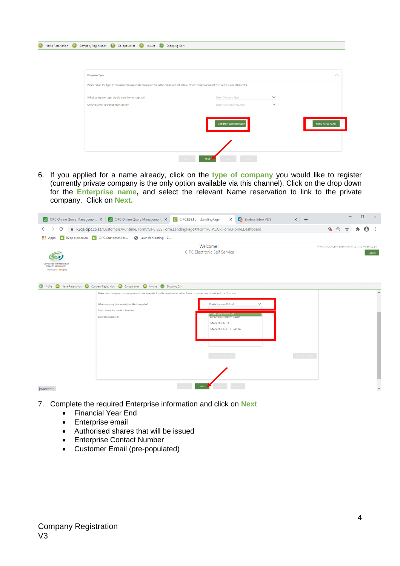| <b>Company Type</b>                                                                                                                              |                                  |              | $\curvearrowright$ |
|--------------------------------------------------------------------------------------------------------------------------------------------------|----------------------------------|--------------|--------------------|
| Please select the type of company you would like to register from the dropdown list below. Private companies must have at least one (1) director |                                  |              |                    |
| What company type would you like to register?                                                                                                    | <b>Select Company Type</b>       | $\checkmark$ |                    |
| Select Name Reservation Number                                                                                                                   | <b>Select Reservation Number</b> | $\checkmark$ |                    |
|                                                                                                                                                  | <b>Continue Without Name</b>     |              | Apply For A Name   |

6. If you applied for a name already, click on the **type of company** you would like to register (currently private company is the only option available via this channel). Click on the drop down for the **Enterprise name,** and select the relevant Name reservation to link to the private company. Click on **Next.**

|                                                                                | <b>B</b> CIPC Online Query Management $\times$ <b>B</b> CIPC Online Query Management $\times$ <b>:</b> CIPC.ESS.Form.LandingPage                 |                                                     | $\frac{1}{2}$ Zimbra: Inbox (87)<br>$\times$ | $\times$ + | $\Box$<br>$\times$                                    |
|--------------------------------------------------------------------------------|--------------------------------------------------------------------------------------------------------------------------------------------------|-----------------------------------------------------|----------------------------------------------|------------|-------------------------------------------------------|
| C<br>$\rightarrow$<br>$\leftarrow$                                             | Lackgrading.co.za/Customers/Runtime/Form/CIPC.ESS.Form.LandingPage#/Form/CIPC.CR.Form.Home.Dashboard                                             |                                                     |                                              |            | $G$ $\odot$<br>Θ<br>$\frac{1}{2}$                     |
| $\mathbf{H}$ Apps<br><b>H</b> k2qa.cipc.co.za <b>H</b> CIPC.Customer.For       | C Launch Meeting - Z                                                                                                                             |                                                     |                                              |            |                                                       |
| Companies and Intellectua<br>Property Commission<br>a member of the dtic group |                                                                                                                                                  | Welcome!<br><b>CIPC Electronic Self Service</b>     |                                              |            | MARIA MAGDALENA SWEMMER (MAGDAS@MWEB.CO.ZA)<br>Logout |
|                                                                                | <b>a</b> Profile <b>O</b> Name Reservation <b>O</b> Company Registration <b>O</b> Co-operatives <b>O</b> Invoice <b>C</b> Shopping Cart          |                                                     |                                              |            | $\blacktriangle$                                      |
|                                                                                | Please select the type of company you would like to register from the dropdown list below. Private companies must have at least one (1) director |                                                     |                                              |            |                                                       |
|                                                                                | What company type would you like to register?                                                                                                    | Private Company(Pty) Ltd                            |                                              |            |                                                       |
|                                                                                | <b>Select Name Reservation Number</b><br><b>Enterprise Name (s)</b>                                                                              | 'nvate Company(Pty) Ltd<br>PROPOSED/ RESERVED NAMES |                                              |            |                                                       |
|                                                                                |                                                                                                                                                  | <b>MAGDA PASTA</b>                                  |                                              |            |                                                       |
|                                                                                |                                                                                                                                                  | MAGDA UNIQUE PASTA                                  |                                              |            |                                                       |
|                                                                                |                                                                                                                                                  |                                                     |                                              |            |                                                       |
|                                                                                |                                                                                                                                                  |                                                     |                                              |            |                                                       |
|                                                                                |                                                                                                                                                  |                                                     |                                              |            |                                                       |
|                                                                                |                                                                                                                                                  |                                                     |                                              |            |                                                       |
|                                                                                |                                                                                                                                                  |                                                     |                                              |            |                                                       |
| javascript:;                                                                   |                                                                                                                                                  | Next                                                |                                              |            | $\overline{\phantom{a}}$                              |

- 7. Complete the required Enterprise information and click on **Next**
	- Financial Year End
	- **•** Enterprise email
	- Authorised shares that will be issued
	- Enterprise Contact Number
	- Customer Email (pre-populated)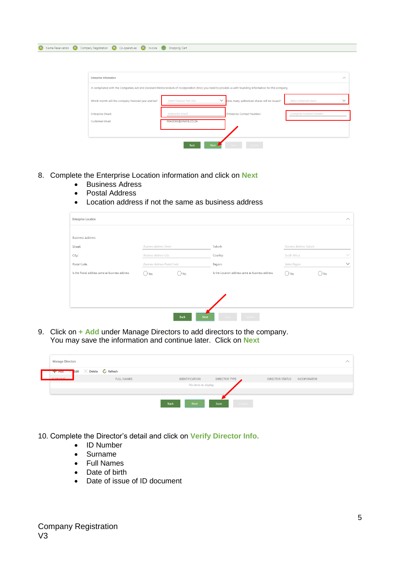| A Name Reservation (C) Company Registration (C) Co-operatives (C) Invoice (C) Shopping Cart                                                           |                                  |                                                   |                                          |
|-------------------------------------------------------------------------------------------------------------------------------------------------------|----------------------------------|---------------------------------------------------|------------------------------------------|
|                                                                                                                                                       |                                  |                                                   |                                          |
|                                                                                                                                                       |                                  |                                                   |                                          |
| <b>Enterprise Information</b>                                                                                                                         |                                  |                                                   | $\wedge$                                 |
| In compliance with the Companies Act and standard Memorandum of Incorporation (MoI) you need to provide us with founding information for the company. |                                  |                                                   |                                          |
| Which month will the company financial year end be?                                                                                                   | <b>Select Financial Year End</b> | $\vee$ How many authorised shares will be issued? | Select authorised shares<br>$\checkmark$ |
| <b>Enterprise Email:</b>                                                                                                                              | <b>Enterprise Email</b>          | <b>Enterprise Contact Number:</b>                 | <b>Enterprise Contact Number</b>         |
| <b>Customer Email:</b>                                                                                                                                | MAGDAS@MWEB.CO.ZA                |                                                   |                                          |
|                                                                                                                                                       |                                  |                                                   |                                          |
|                                                                                                                                                       | <b>Back</b><br><b>Next</b>       |                                                   |                                          |

- 8. Complete the Enterprise Location information and click on **Next**
	- **•** Business Adress
	- Postal Address
	- Location address if not the same as business address

| <b>Enterprise Location</b>                     |                                     |                            |                                                  |                                |               | $\wedge$     |
|------------------------------------------------|-------------------------------------|----------------------------|--------------------------------------------------|--------------------------------|---------------|--------------|
| <b>Business Address</b>                        |                                     |                            |                                                  |                                |               |              |
| Street:                                        | <b>Business Address Street</b>      |                            | Suburb:                                          | <b>Business Address Suburb</b> |               |              |
| City:                                          | <b>Business Address City</b>        |                            | Country:                                         | South Africa                   |               | $\checkmark$ |
| Postal Code:                                   | <b>Business Address Postal Code</b> |                            | Region:                                          | <b>Select Region</b>           |               | $\checkmark$ |
| Is the Postal address same as business address | () Yes                              | $\bigcirc$ No              | Is the Location address same as business address | $()$ Yes                       | $\bigcirc$ No |              |
|                                                |                                     |                            |                                                  |                                |               |              |
|                                                |                                     |                            |                                                  |                                |               |              |
|                                                |                                     |                            |                                                  |                                |               |              |
|                                                |                                     | <b>Back</b><br><b>Next</b> | Subm                                             |                                |               |              |

9. Click on **+ Add** under Manage Directors to add directors to the company. You may save the information and continue later. Click on **Next**

| <b>Manage Directors</b>                                                                                                                                                                                                              |                                 |                            |                      |                                              |  |
|--------------------------------------------------------------------------------------------------------------------------------------------------------------------------------------------------------------------------------------|---------------------------------|----------------------------|----------------------|----------------------------------------------|--|
| <b>Haulter Contract Contract Contract Contract Contract Contract Contract Contract Contract Contract Contract Contract Contract Contract Contract Contract Contract Contract Contract Contract Contract Contract Contract Contra</b> | $\times$ Delete $\circ$ Refresh |                            |                      |                                              |  |
| CLIDNAMAE                                                                                                                                                                                                                            | <b>FULL NAMES</b>               | IDENTIFICATION             | <b>DIRECTOR TYPE</b> | <b>DIRECTOR STATUS</b><br><b>INCOPORATOR</b> |  |
|                                                                                                                                                                                                                                      |                                 | No items to display.       |                      |                                              |  |
|                                                                                                                                                                                                                                      |                                 |                            |                      |                                              |  |
|                                                                                                                                                                                                                                      |                                 | <b>Back</b><br><b>Next</b> | Save<br>sulomi       |                                              |  |

- 10. Complete the Director's detail and click on **Verify Director Info.**
	- ID Number
	- Surname
	- Full Names
	- Date of birth
	- Date of issue of ID document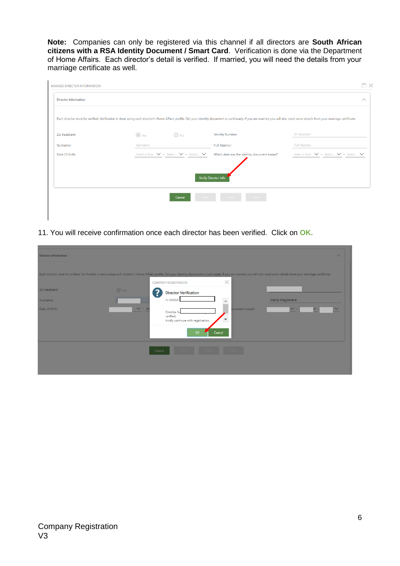**Note:** Companies can only be registered via this channel if all directors are **South African citizens with a RSA Identity Document / Smart Card**. Verification is done via the Department of Home Affairs. Each director's detail is verified. If married, you will need the details from your marriage certificate as well.

|             |               | Each director must be verified. Verification is done using each director's Home Affairs profile. Get your identity document or card ready. If you are married you will also need some details from your marriage certificate. | $\curvearrowright$                                                           |
|-------------|---------------|-------------------------------------------------------------------------------------------------------------------------------------------------------------------------------------------------------------------------------|------------------------------------------------------------------------------|
|             |               |                                                                                                                                                                                                                               |                                                                              |
|             |               |                                                                                                                                                                                                                               |                                                                              |
| $\circ$ Yes | $\bigcirc$ No | <b>Identity Number:</b>                                                                                                                                                                                                       | <b>ID Number</b>                                                             |
| Surname     |               | <b>Full Names:</b>                                                                                                                                                                                                            | <b>Full Names</b>                                                            |
|             |               | Which date was the identity document issued?                                                                                                                                                                                  | Select a Year $\vee$ - Select $\vee$ - Select $\vee$                         |
|             |               |                                                                                                                                                                                                                               |                                                                              |
|             |               |                                                                                                                                                                                                                               |                                                                              |
|             | Cancel        |                                                                                                                                                                                                                               |                                                                              |
|             |               |                                                                                                                                                                                                                               |                                                                              |
|             |               |                                                                                                                                                                                                                               | Select a Year $\vee$ - Select $\vee$ - Select $\vee$<br>Verify Director Info |

11. You will receive confirmation once each director has been verified. Click on **OK.**

| <b>Director Information</b>                                                                                                                                                                                                   |                  |                                                                      |                                                        | $\wedge$        |
|-------------------------------------------------------------------------------------------------------------------------------------------------------------------------------------------------------------------------------|------------------|----------------------------------------------------------------------|--------------------------------------------------------|-----------------|
| Each director must be verified. Verification is done using each director's Home Affairs profile. Get your identity document or card ready. If you are married you will also need some details from your marriage certificate. |                  | <b>COMPANY REGISTRATION</b>                                          | $\times$                                               |                 |
| ZA Resident:                                                                                                                                                                                                                  | $\circ$ Yes<br>? | <b>Director Verification</b>                                         |                                                        |                 |
| Surname:                                                                                                                                                                                                                      |                  | Hi MARIA                                                             | $\overline{\phantom{a}}$                               | Maria Magdalena |
| Date Of Birth:                                                                                                                                                                                                                | $\vee$ - 06      | Director Sv<br>verified,<br>kindly continue with registration.<br>OK | locument issued?<br>$\overline{\phantom{a}}$<br>Cancel | $\vee$ -        |
|                                                                                                                                                                                                                               | Cancel           |                                                                      |                                                        |                 |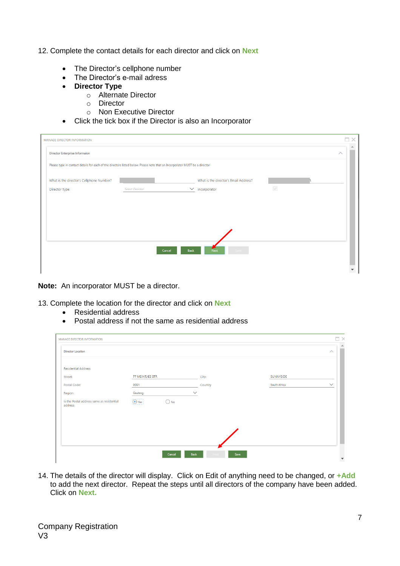### 12. Complete the contact details for each director and click on **Next**

- The Director's cellphone number
- The Director's e-mail adress
- **Director Type**
	- o Alternate Director
	- o Director
	- o Non Executive Director
- Click the tick box if the Director is also an Incorporator

| MANAGE DIRECTOR INFORMATION              |                                                                                                                            |      |                                       |              | $\sim$             |
|------------------------------------------|----------------------------------------------------------------------------------------------------------------------------|------|---------------------------------------|--------------|--------------------|
| <b>Director Enterprise Informaion</b>    |                                                                                                                            |      |                                       |              | $\curvearrowright$ |
|                                          | Please type in contact details for each of the directors listed below. Please note that an Incorporator MUST be a director |      |                                       |              |                    |
| What is the director's Cellphone Number? |                                                                                                                            |      | What is the director's Email Address? |              |                    |
| Director Type:                           | <b>Select Director</b>                                                                                                     |      | $\vee$ Incorporator                   | $\checkmark$ |                    |
|                                          |                                                                                                                            |      |                                       |              |                    |
|                                          |                                                                                                                            |      |                                       |              |                    |
|                                          |                                                                                                                            |      |                                       |              |                    |
|                                          |                                                                                                                            |      |                                       |              |                    |
|                                          | Cancel                                                                                                                     | Back | <b>Next</b>                           |              |                    |
|                                          |                                                                                                                            |      |                                       |              |                    |
|                                          |                                                                                                                            |      |                                       |              |                    |

**Note:** An incorporator MUST be a director.

13. Complete the location for the director and click on **Next**

- Residential address
- Postal address if not the same as residential address

| <b>MANAGE DIRECTOR INFORMATION</b>                   |                              |                     |              | $\Box$ $\times$<br>$\blacktriangle$ |
|------------------------------------------------------|------------------------------|---------------------|--------------|-------------------------------------|
| <b>Director Location</b>                             |                              |                     |              | $\curvearrowright$                  |
| <b>Residential Address</b>                           |                              |                     |              |                                     |
| Street:                                              | <b>77 MEINTJIES STR</b>      | City:               | SUNNYSIDE    |                                     |
| Postal Code:                                         | 0001                         | Country             | South Africa | $\checkmark$                        |
| Region:                                              | Gauteng                      | $\checkmark$        |              |                                     |
| Is the Postal address same as residential<br>address | $\odot$ Yes<br>$\bigcirc$ No |                     |              |                                     |
|                                                      |                              |                     |              |                                     |
|                                                      |                              |                     |              |                                     |
|                                                      |                              |                     |              |                                     |
|                                                      | Cancel                       | <b>Back</b><br>Save |              | $\blacktriangledown$                |

14. The details of the director will display. Click on Edit of anything need to be changed, or **+Add** to add the next director. Repeat the steps until all directors of the company have been added. Click on **Next.**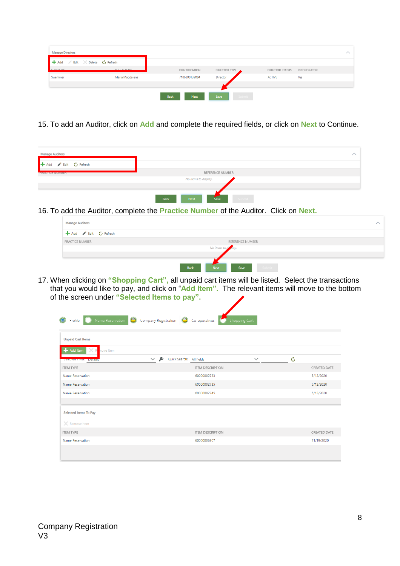| $\times$ Delete $\circ$ Refresh |                     |                |                        |                    |
|---------------------------------|---------------------|----------------|------------------------|--------------------|
| <b>FUEL MANAGE</b>              | IDENTIFICATION      | DIRECTOR TYPE  | <b>DIRECTOR STATUS</b> | <b>INCOPORATOR</b> |
| Maria Magdalena                 | 7106300139084       | Director       | <b>ACTIVE</b>          | Yes                |
|                                 |                     |                |                        |                    |
|                                 | Back<br><b>Next</b> | Save<br>Submit |                        |                    |
|                                 |                     |                |                        |                    |

15. To add an Auditor, click on **Add** and complete the required fields, or click on **Next** to Continue.

| <b>Manage Auditors</b>                      |                                           |  |
|---------------------------------------------|-------------------------------------------|--|
| <b>+</b> Add <b>F</b> Edit <b>C</b> Refresh |                                           |  |
| <b>FIVALITLE INUIVIDER</b>                  | REFERENCE NUMBER                          |  |
|                                             | No items to display.                      |  |
|                                             | <b>Back</b><br><b>Next</b><br><b>Save</b> |  |

16. To add the Auditor, complete the **Practice Number** of the Auditor. Click on **Next.**



17. When clicking on **"Shopping Cart",** all unpaid cart items will be listed. Select the transactions that you would like to pay, and click on "**Add Item".** The relevant items will move to the bottom of the screen under **"Selected Items to pay".**

| <b>Unpaid Cart Items</b>                          |                                                     |              |    |                     |
|---------------------------------------------------|-----------------------------------------------------|--------------|----|---------------------|
| Add Item<br>nove Item                             | £<br>$\checkmark$                                   | $\checkmark$ | Ċ, |                     |
| prefective and the management<br><b>ITEM TYPE</b> | Quick Search: All fields<br><b>ITEM DESCRIPTION</b> |              |    | <b>CREATED DATE</b> |
| Name Reservation                                  | 60000002733                                         |              |    | 5/12/2020           |
| Name Reservation                                  | 60000002735                                         |              |    | 5/12/2020           |
| Name Reservation                                  | 60000002745                                         |              |    | 5/12/2020           |
| Selected Items To Pay                             |                                                     |              |    |                     |
| $\times$ Remove Item                              |                                                     |              |    |                     |
| <b>ITEM TYPE</b>                                  | <b>ITEM DESCRIPTION</b>                             |              |    | <b>CREATED DATE</b> |
| Name Reservation                                  | 60000006307                                         |              |    | 11/19/2020          |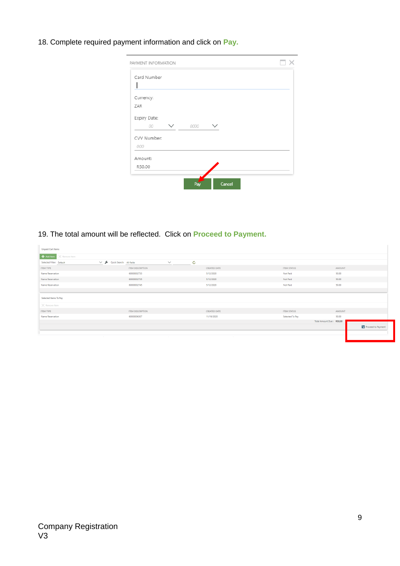18. Complete required payment information and click on **Pay.**

| PAYMENT INFORMATION                |      |  |
|------------------------------------|------|--|
| Card Number                        |      |  |
| Currency:<br>ZAR                   |      |  |
| Expiry Date:<br>00<br>$\checkmark$ | 0000 |  |
| CVV Number:<br>000                 |      |  |
| Amount:<br>R50.00                  |      |  |

19. The total amount will be reflected. Click on **Proceed to Payment.**

| <b>Unpaid Cart Items</b>         |                          |                |              |              |                    |                          |                      |
|----------------------------------|--------------------------|----------------|--------------|--------------|--------------------|--------------------------|----------------------|
| Add Item<br>$\times$ Remove Item |                          |                |              |              |                    |                          |                      |
| Selected Filter: Default         | Quick Search: All fields | $\checkmark$   | $\mathbf{C}$ |              |                    |                          |                      |
| <b>ITEM TYPE</b>                 | <b>ITEM DESCRIPTION</b>  |                |              | CREATED DATE | <b>ITEM STATUS</b> | AMOUNT                   |                      |
| Name Reservation                 | 60000002733              |                |              | 5/12/2020    | Not Paid           | 50.00                    |                      |
| Name Reservation                 | 60000002735              |                |              | 5/12/2020    | Not Paid           | 50.00                    |                      |
| Name Reservation                 | 60000002745              |                |              | 5/12/2020    | Not Paid           | 50.00                    |                      |
|                                  |                          |                |              |              |                    |                          |                      |
| Selected Items To Pay            |                          |                |              |              |                    |                          |                      |
| $\times$ Remove Item             |                          |                |              |              |                    |                          |                      |
| <b>ITEM TYPE</b>                 | <b>ITEM DESCRIPTION</b>  |                |              | CREATED DATE | <b>ITEM STATUS</b> | AMOUNT                   |                      |
| Name Reservation                 | 60000006307              |                |              | 11/19/2020   | Selected To Pay    | 50.00                    |                      |
|                                  |                          |                |              |              |                    | Total Amount Due: R50,00 |                      |
|                                  |                          |                |              |              |                    |                          | S Proceed to Payment |
|                                  |                          |                |              |              |                    |                          |                      |
|                                  | $\sim$                   | <b>College</b> |              | $\sim$       |                    |                          |                      |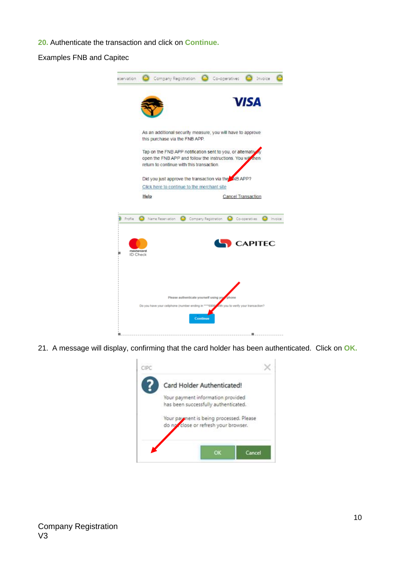**20.** Authenticate the transaction and click on **Continue.**

Examples FNB and Capitec



21. A message will display, confirming that the card holder has been authenticated. Click on **OK.**